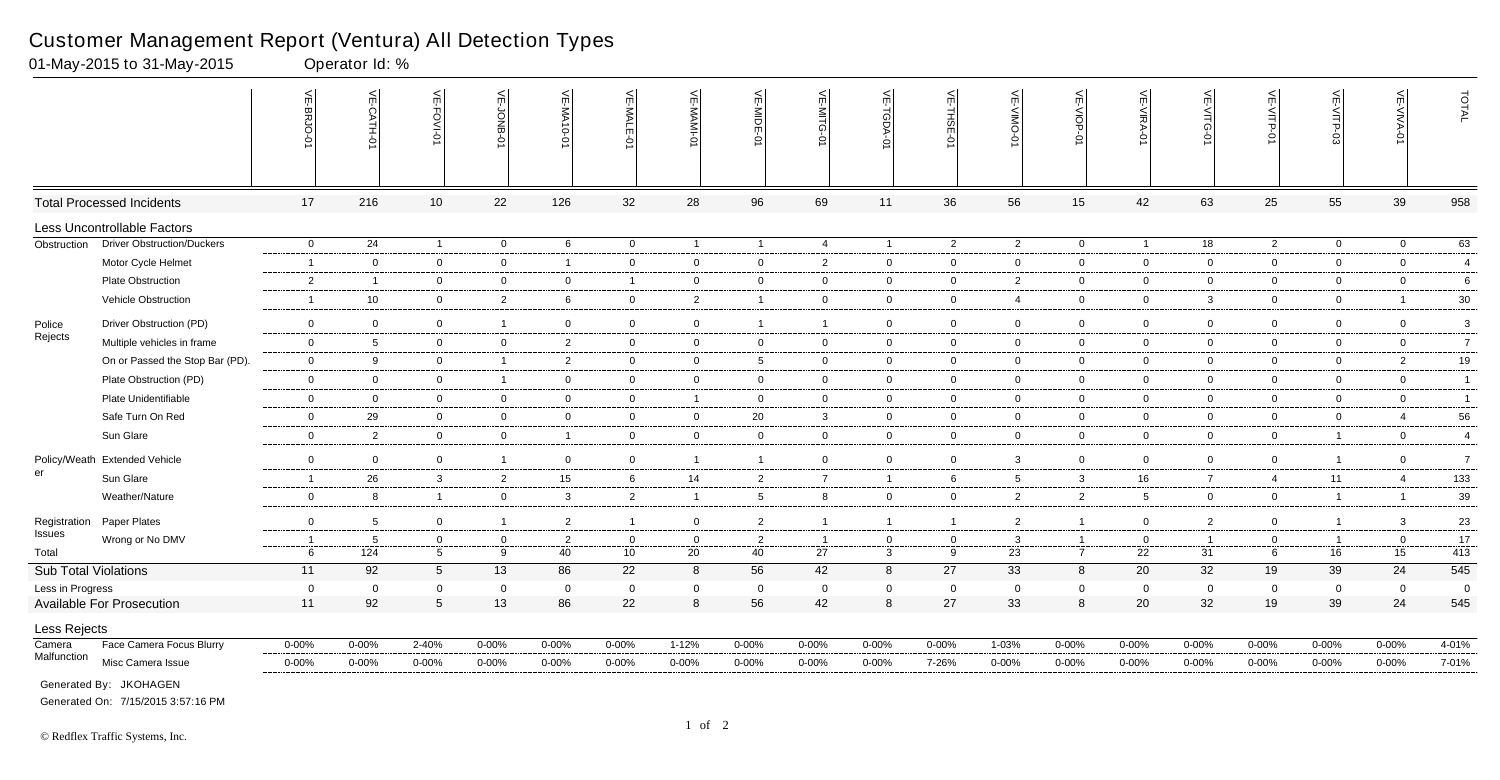|                      |                                   | VE-BRJO-       | VE-CATH-01              | VE-FOVI-01      | VE-JONB-       | VE-MA10-01     | VE-MALE<br>ė    | VE-MAMI          | VE-MIDE-0               | $\leq$         | VE-TGDA-0      | VE-THSE-01     | VE-VIMO-<br>ò   | VE-VIOP-0      | $\overline{VE-NIRA-01}$ | VE-VITG-0       | VE-VITP-01     | VE-VITP-03     | VE-VIVA-<br>ò  | TOTAL            |
|----------------------|-----------------------------------|----------------|-------------------------|-----------------|----------------|----------------|-----------------|------------------|-------------------------|----------------|----------------|----------------|-----------------|----------------|-------------------------|-----------------|----------------|----------------|----------------|------------------|
|                      | <b>Total Processed Incidents</b>  | 17             | 216                     | 10              | 22             | 126            | 32              | 28               | 96                      | 69             | 11             | 36             | 56              | 15             | 42                      | 63              | 25             | 55             | 39             | 958              |
|                      | Less Uncontrollable Factors       |                |                         |                 |                |                |                 |                  |                         |                |                |                |                 |                |                         |                 |                |                |                |                  |
| Obstruction          | <b>Driver Obstruction/Duckers</b> | $\overline{0}$ | 24                      | $\mathbf{1}$    | $\overline{0}$ | 6              | $\overline{0}$  | $\overline{1}$   | $\overline{1}$          | $\overline{4}$ | $\overline{1}$ | $\overline{2}$ | $\overline{2}$  | $\overline{0}$ | $\overline{1}$          | $\overline{18}$ | $2^{\circ}$    | $\mathbf 0$    | $\mathbf 0$    | 63               |
|                      | Motor Cycle Helmet                | $\mathbf{1}$   | $\overline{0}$          | $\mathbf 0$     | $\overline{0}$ | -1             | $\overline{0}$  | $\overline{0}$   | $\overline{0}$          | $\overline{2}$ | $\mathbf 0$    | $\overline{0}$ | $\mathbf{0}$    | $\overline{0}$ | $\mathbf 0$             | $\overline{0}$  | $\mathbf 0$    | $\mathbf 0$    | $\overline{0}$ | $\overline{4}$   |
|                      | Plate Obstruction                 | $\overline{2}$ | $\overline{\mathbf{1}}$ | $\mathbf 0$     | $\overline{0}$ | $\mathbf 0$    | $\mathbf{1}$    | $\overline{0}$   | $\overline{0}$          | $\overline{0}$ | $\mathbf 0$    | $\mathbf 0$    | $\overline{2}$  | $\mathbf 0$    | $\mathbf 0$             | $\mathbf 0$     | $\overline{0}$ | $\mathbf 0$    | $\mathbf 0$    | 6                |
|                      | Vehicle Obstruction               | -1             | 10                      | $\mathbf 0$     | $\overline{2}$ | 6              | $\mathbf 0$     | $\overline{2}$   | $\overline{1}$          | $\overline{0}$ | $\mathbf 0$    | $\overline{0}$ | $\overline{4}$  | $\overline{0}$ | $\mathbf 0$             | $\mathbf{3}$    | $\overline{0}$ | $\mathbf 0$    | $\overline{1}$ | 30               |
| Police               | Driver Obstruction (PD)           | $\mathbf 0$    | $\mathbf 0$             | $\mathbf 0$     | $\overline{1}$ | $\mathbf 0$    | $\mathbf 0$     | $\overline{0}$   | $\overline{1}$          | $\overline{1}$ | $\mathbf 0$    | $\overline{0}$ | $\mathbf 0$     | $\overline{0}$ | $\mathbf 0$             | $\mathbf 0$     | $\overline{0}$ | $\mathbf 0$    | $\mathbf 0$    | $\mathbf{3}$     |
| Rejects              | Multiple vehicles in frame        | $\mathbf 0$    | 5                       | $\overline{0}$  | $\overline{0}$ | 2              | $\mathbf 0$     | $\overline{0}$   | $\overline{0}$          | $\overline{0}$ | $\overline{0}$ | $\overline{0}$ | $\mathbf 0$     | $\overline{0}$ | $\overline{0}$          | $\mathbf 0$     | $\overline{0}$ | $\mathbf 0$    | $\overline{0}$ | $\overline{7}$   |
|                      | On or Passed the Stop Bar (PD).   | $\mathbf 0$    | 9                       | $\mathbf 0$     | $\overline{1}$ | $\overline{2}$ | $\mathbf{0}$    | $\overline{0}$   | 5                       | $\mathbf 0$    | $\overline{0}$ | $\overline{0}$ | $\mathbf 0$     | $\overline{0}$ | $\mathbf 0$             | $\mathbf 0$     | $\overline{0}$ | $\mathbf 0$    | $\overline{2}$ | $19$             |
|                      | Plate Obstruction (PD)            | $\mathbf 0$    | $\overline{0}$          | $\mathbf 0$     | $\overline{1}$ | $\mathbf 0$    | $\overline{0}$  | $\overline{0}$   | $\overline{0}$          | $\overline{0}$ | $\mathbf 0$    | $\mathbf 0$    | $\mathbf{0}$    | $\mathbf 0$    | $\overline{0}$          | $\mathbf 0$     | $\overline{0}$ | $\overline{0}$ | $\overline{0}$ | $\overline{1}$   |
|                      | Plate Unidentifiable              | $\mathbf 0$    | $\overline{0}$          | $\overline{0}$  | $\overline{0}$ | $\mathbf 0$    | $\overline{0}$  | $\overline{1}$   | $\overline{0}$          | $\overline{0}$ | $\mathbf 0$    | $\overline{0}$ | $\mathbf{0}$    | $\overline{0}$ | $\overline{0}$          | $\overline{0}$  | $\overline{0}$ | $\mathbf 0$    | $\overline{0}$ | $\overline{1}$   |
|                      | Safe Turn On Red                  | $\mathbf{0}$   | 29                      | $\mathbf 0$     | $\overline{0}$ | $\mathbf 0$    | $\overline{0}$  | $\overline{0}$   | 20                      | $\mathbf{3}$   | $\overline{0}$ | $\overline{0}$ | $\mathbf{0}$    | $\mathbf 0$    | $\overline{0}$          | $\overline{0}$  | $\overline{0}$ | $\mathbf 0$    | $\overline{4}$ | 56               |
|                      | Sun Glare                         | $\mathbf 0$    | 2                       | $\overline{0}$  | $\overline{0}$ | -1             | $\overline{0}$  | $\overline{0}$   | $\overline{0}$          | $\overline{0}$ | $\overline{0}$ | $\overline{0}$ | $\mathbf{0}$    | $\overline{0}$ | $\mathbf 0$             | $\overline{0}$  | $\overline{0}$ | $\overline{1}$ | $\overline{0}$ | $\overline{4}$   |
|                      |                                   |                |                         |                 |                |                |                 |                  |                         |                |                |                |                 |                |                         |                 |                |                |                |                  |
| Policy/Weath<br>er   | <b>Extended Vehicle</b>           | $\mathbf 0$    | $\overline{0}$          | $\overline{0}$  | $\overline{1}$ | $\overline{0}$ | $\overline{0}$  | $\overline{1}$   | $\overline{\mathbf{1}}$ | $\overline{0}$ | $\mathbf 0$    | $\mathbf 0$    | 3               | $\mathbf 0$    | $\mathbf 0$             | $\mathbf 0$     | $\mathbf 0$    | $\overline{1}$ | $\overline{0}$ | $\overline{7}$   |
|                      | Sun Glare                         | $\overline{1}$ | 26                      | $\mathbf{3}$    | $\overline{2}$ | 15             | 6               | 14               | $\overline{2}$          | $7^{\circ}$    | $\overline{1}$ | 6              | $5\overline{5}$ | $\mathbf{3}$   | 16                      | $\overline{7}$  | $\overline{4}$ | 11             | $\overline{4}$ | 133              |
|                      | Weather/Nature                    | $\mathbf 0$    | 8                       | $\overline{1}$  | $\overline{0}$ | 3              | $\overline{2}$  | $\overline{1}$   | 5                       | 8              | $\mathbf 0$    | $\mathbf 0$    | $\overline{2}$  | $\overline{2}$ | 5                       | $\overline{0}$  | $\overline{0}$ | $\overline{1}$ | $\overline{1}$ | 39               |
| Registration         | Paper Plates                      | $\overline{0}$ | 5                       | $\mathbf 0$     | $\overline{1}$ | $\overline{2}$ | $\overline{1}$  | $\overline{0}$   | $\overline{2}$          | $\overline{1}$ | $\overline{1}$ | $\overline{1}$ | $\overline{2}$  | $\overline{1}$ | $\mathbf 0$             | $\overline{2}$  | $\overline{0}$ | $\overline{1}$ | $\mathbf{3}$   | 23               |
| Issues               | Wrong or No DMV                   | -1             | 5                       | $\mathbf 0$     | $\overline{0}$ | $\overline{c}$ | $\mathbf 0$     | $\overline{0}$   | $\overline{c}$          | $\overline{1}$ | $\mathbf 0$    | $\overline{0}$ | 3               | $\overline{1}$ | $\mathbf 0$             | $\overline{1}$  | $\mathbf 0$    | $\overline{1}$ | $\mathbf 0$    | 17               |
| Total                |                                   | 6              | $\frac{1}{124}$         | $5\overline{)}$ | 9              | 40             | 10 <sup>°</sup> | 20               | 40                      | 27             | $\mathbf{3}$   | 9              | 23              | $\overline{7}$ | 22                      | 31              | 6              | 16             | 15             | 413              |
| Sub Total Violations |                                   | 11             | 92                      | $5\overline{)}$ | 13             | 86             | 22              | 8                | 56                      | 42             | $8\phantom{1}$ | 27             | 33              | 8              | 20                      | 32              | 19             | 39             | 24             | $\overline{545}$ |
| Less in Progress     |                                   | $\mathbf 0$    | $\overline{0}$          | $\Omega$        | $\overline{0}$ | $\mathbf 0$    | $\mathbf 0$     | $\mathbf 0$      | $\overline{0}$          | $\mathbf 0$    | $\mathbf 0$    | $\mathbf 0$    | 0               | $\mathbf 0$    | $\Omega$                | $\mathbf 0$     | $\mathbf 0$    | $\mathbf 0$    | $\mathbf 0$    | $\overline{0}$   |
|                      | <b>Available For Prosecution</b>  | 11             | 92                      | $5\phantom{.0}$ | 13             | 86             | 22              | $\boldsymbol{8}$ | 56                      | 42             | 8              | 27             | 33              | 8              | 20                      | 32              | 19             | 39             | 24             | 545              |
| Less Rejects         |                                   |                |                         |                 |                |                |                 |                  |                         |                |                |                |                 |                |                         |                 |                |                |                |                  |
| Camera               | Face Camera Focus Blurry          | $0 - 00%$      | 0-00%                   | $2 - 40%$       | $0 - 00%$      | $0 - 00%$      | $0 - 00\%$      | $1 - 12%$        | $0 - 00%$               | $0 - 00%$      | $0 - 00%$      | $0 - 00%$      | $1 - 03%$       | $0 - 00%$      | $0 - 00\%$              | $0 - 00%$       | $0 - 00%$      | $0 - 00%$      | $0 - 00\%$     | 4-01%            |
| Malfunction          | Misc Camera Issue                 | $0 - 00%$      | $0 - 00%$               | $0 - 00%$       | $0 - 00%$      | $0 - 00%$      | $0 - 00\%$      | $0 - 00\%$       | $0 - 00%$               | $0 - 00\%$     | $0 - 00\%$     | 7-26%          | $0 - 00%$       | $0 - 00%$      | $0 - 00\%$              | $0 - 00%$       | 0-00%          | $0 - 00\%$     | $0 - 00\%$     | 7-01%            |
|                      | Generated By: JKOHAGEN            |                |                         |                 |                |                |                 |                  |                         |                |                |                |                 |                |                         |                 |                |                |                |                  |

## Customer Management Report (Ventura) All Detection Types

01-May-2015 to 31-May-2015 Operator Id: %

Generated On: 7/15/2015 3:57:16 PM

Generated By: JKOHAGEN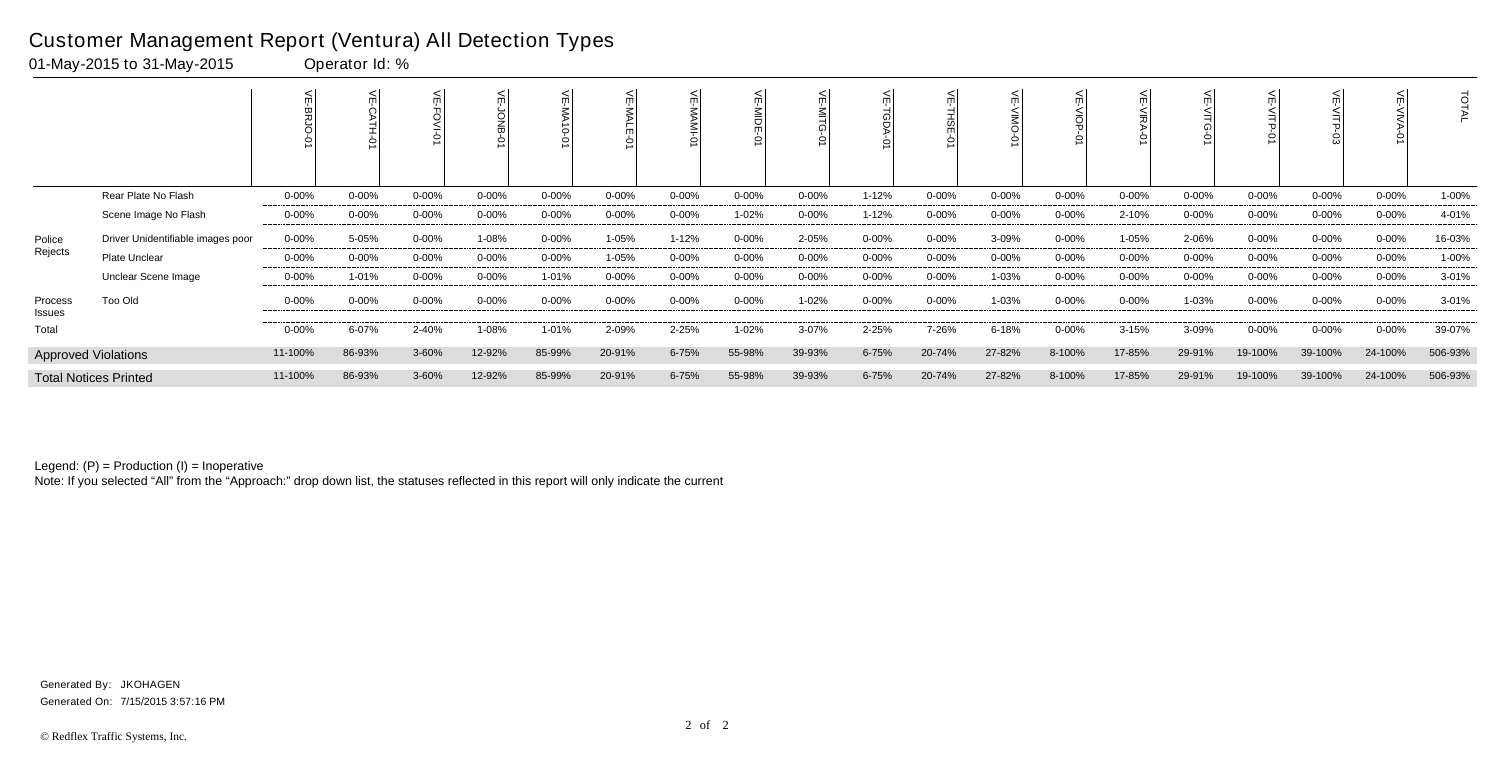|                              |                                   |            |           |            |           |            | <b>NALE</b> |            | 븻<br>MIDE<br>ò |            |            |           |            |            |            |           |            |           |            | ਰ<br>FAL  |
|------------------------------|-----------------------------------|------------|-----------|------------|-----------|------------|-------------|------------|----------------|------------|------------|-----------|------------|------------|------------|-----------|------------|-----------|------------|-----------|
|                              | Rear Plate No Flash               | $0 - 00\%$ | $0 - 00%$ | $0 - 00\%$ | $0 - 00%$ | $0 - 00%$  | 0-00%       | $0 - 00%$  | $0 - 00%$      | $0 - 00\%$ | 1-12%      | $0 - 00%$ | $0 - 00%$  | $0 - 00\%$ | $0 - 00\%$ | 0-00%     | $0 - 00\%$ | $0 - 00%$ | $0 - 00\%$ | 1-00%     |
|                              | Scene Image No Flash              | $0 - 00\%$ | $0 - 00%$ | $0 - 00%$  | 0-00%     | $0 - 00%$  | 0-00%       | $0 - 00\%$ | 1-02%          | $0 - 00\%$ | $1 - 12%$  | $0 - 00%$ | $0 - 00%$  | $0 - 00\%$ | 2-10%      | 0-00%     | $0 - 00\%$ | $0 - 00%$ | $0 - 00\%$ | 4-01%     |
| Police                       | Driver Unidentifiable images poor | 0-00%      | 5-05%     | $0 - 00%$  | 1-08%     | $0 - 00%$  | 1-05%       | $1 - 12%$  | $0 - 00%$      | 2-05%      | $0 - 00\%$ | $0 - 00%$ | 3-09%      | $0 - 00\%$ | 1-05%      | 2-06%     | $0 - 00\%$ | $0 - 00%$ | $0 - 00\%$ | 16-03%    |
| Rejects                      | Plate Unclear                     | $0 - 00\%$ | $0 - 00%$ | 0-00%      | $0 - 00%$ | $0 - 00\%$ | 1-05%       | $0 - 00%$  | $0 - 00%$      | $0 - 00\%$ | $0 - 00\%$ | $0 - 00%$ | $0 - 00\%$ | $0 - 00\%$ | $0 - 00\%$ | $0 - 00%$ | 0-00%      | 0-00%     | $0 - 00\%$ | 1-00%     |
|                              | Unclear Scene Image               | $0 - 00\%$ | 1-01%     | $0 - 00%$  | 0-00%     | 1-01%      | 0-00%       | $0 - 00\%$ | $0 - 00%$      | 0-00%      | $0 - 00\%$ | $0 - 00%$ | 1-03%      | $0 - 00\%$ | $0 - 00\%$ | 0-00%     | $0 - 00\%$ | $0 - 00%$ | $0 - 00\%$ | $3 - 01%$ |
| Process<br>Issues            | Too Old                           | $0 - 00\%$ | $0 - 00%$ | $0 - 00\%$ | $0 - 00%$ | $0 - 00%$  | 0-00%       | $0 - 00%$  | $0 - 00%$      | 1-02%      | $0 - 00\%$ | $0 - 00%$ | 1-03%      | $0 - 00%$  | $0 - 00\%$ | 1-03%     | $0 - 00\%$ | 0-00%     | $0 - 00\%$ | $3 - 01%$ |
| Total                        |                                   | $0 - 00\%$ | 6-07%     | 2-40%      | 1-08%     | 1-01%      | 2-09%       | 2-25%      | 1-02%          | 3-07%      | 2-25%      | 7-26%     | 6-18%      | $0 - 00%$  | $3 - 15%$  | 3-09%     | $0 - 00\%$ | $0 - 00%$ | $0 - 00\%$ | 39-07%    |
|                              | <b>Approved Violations</b>        | 11-100%    | 86-93%    | 3-60%      | 12-92%    | 85-99%     | 20-91%      | $6 - 75%$  | 55-98%         | 39-93%     | $6 - 75%$  | 20-74%    | 27-82%     | 8-100%     | 17-85%     | 29-91%    | 19-100%    | 39-100%   | 24-100%    | 506-93%   |
| <b>Total Notices Printed</b> |                                   | 11-100%    | 86-93%    | 3-60%      | 12-92%    | 85-99%     | 20-91%      | 6-75%      | 55-98%         | 39-93%     | 6-75%      | 20-74%    | 27-82%     | 8-100%     | 17-85%     | 29-91%    | 19-100%    | 39-100%   | 24-100%    | 506-93%   |

Legend: (P) = Production (I) = Inoperative

Note: If you selected "All" from the "Approach:" drop down list, the statuses reflected in this report will only indicate the current

## Customer Management Report (Ventura) All Detection Types

01-May-2015 to 31-May-2015 Operator Id: %

Generated On: 7/15/2015 3:57:16 PM Generated By: JKOHAGEN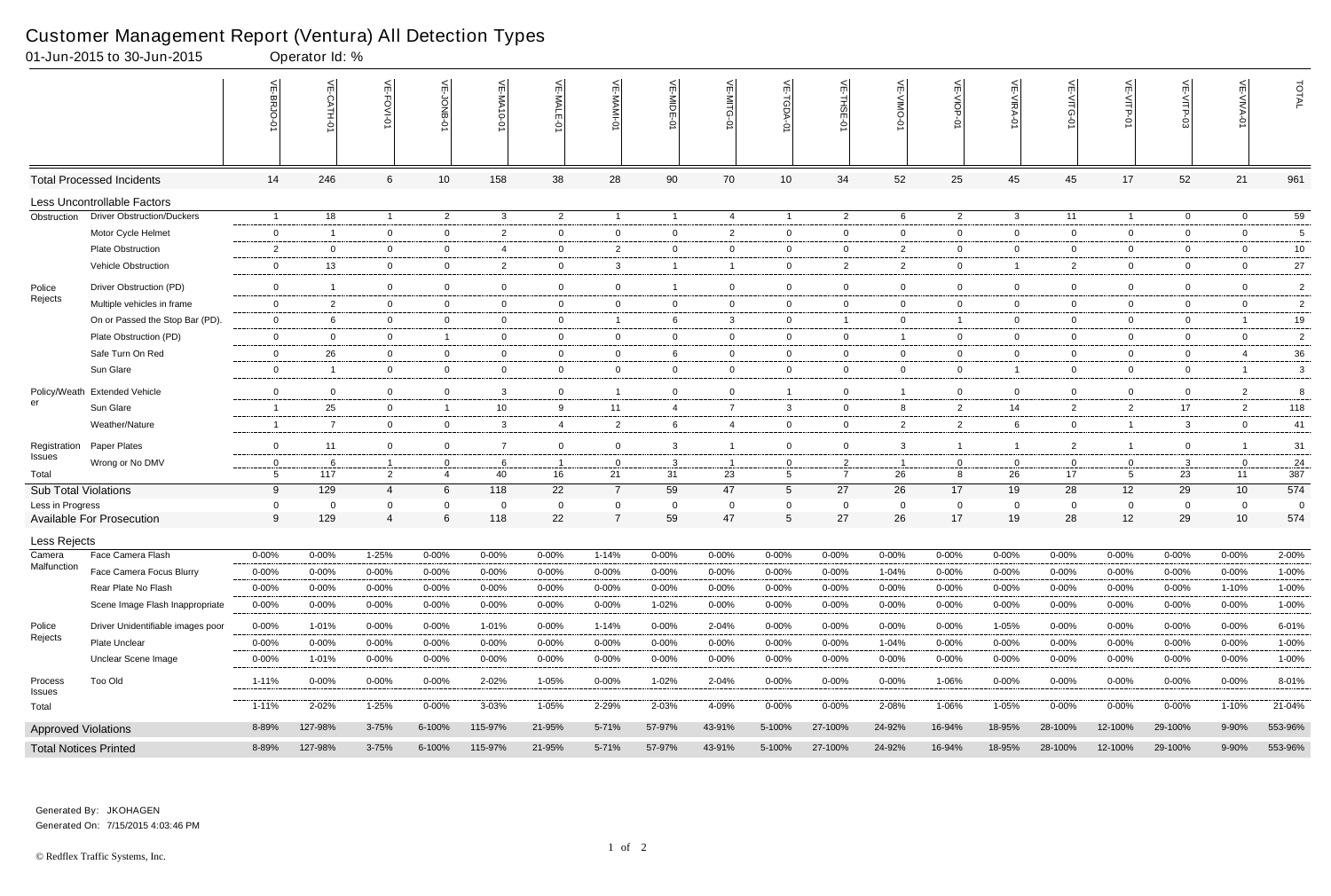## Customer Management Report (Ventura) All Detection Types<br>01-Jun-2015 to 30-Jun-2015<br>00erator ld: %

| 01-Jun-2015 to 30-Jun-2015   |                                   |                          | Operator Id: % |                               |                   | $\sim$ 1         |                |                               |                |                |                  |                        |                |                   |                         |                |                   |                |                  |                |
|------------------------------|-----------------------------------|--------------------------|----------------|-------------------------------|-------------------|------------------|----------------|-------------------------------|----------------|----------------|------------------|------------------------|----------------|-------------------|-------------------------|----------------|-------------------|----------------|------------------|----------------|
|                              |                                   | VE-BRJO-<br>ó            |                | VE-FOVI-0                     | VE-JONB-01        | <b>VE-MA10-0</b> | VE-MALE-01     | VE-MAMI-01                    | VE-MIDE-01     | VE-MITG<br>ò   | 늰                | $\widetilde{\pi}$<br>5 | VE-VIMO-       | VE-VIOP-<br>ò     | VE-VIRA-01              | VE-VITG-0      | $V = \sqrt{TP-9}$ | VE-VITP-03     | 늰<br>-VIVA-<br>Ò | TOTAL          |
|                              | <b>Total Processed Incidents</b>  | 14                       | 246            | 6                             | $10$              | 158              | 38             | 28                            | 90             | 70             | 10               | 34                     | 52             | 25                | 45                      | 45             | 17                | 52             | 21               | 961            |
|                              | Less Uncontrollable Factors       |                          |                |                               |                   |                  |                |                               |                |                |                  |                        |                |                   |                         |                |                   |                |                  |                |
| Obstruction                  | <b>Driver Obstruction/Duckers</b> | $\overline{1}$           | 18             | $\overline{1}$                | $\overline{2}$    | $\mathbf{3}$     | $\overline{2}$ | $\overline{1}$                |                | $\overline{4}$ | $\overline{1}$   | $\overline{2}$         | 6              | $\overline{2}$    | $\mathbf{3}$            | 11             | $\mathbf{1}$      | $\overline{0}$ | $\overline{0}$   | 59             |
|                              | Motor Cycle Helmet                | $\mathbf{0}$             | -1             | $\overline{0}$                | $\mathbf 0$       | $\overline{2}$   | $\mathbf{0}$   | $\overline{0}$                | $\mathbf 0$    | $\overline{2}$ | $\overline{0}$   | $\overline{0}$         | $\overline{0}$ | $\overline{0}$    | $\overline{0}$          | $\overline{0}$ | $\overline{0}$    | $\mathbf 0$    | $\overline{0}$   | 5              |
|                              | <b>Plate Obstruction</b>          | $\overline{c}$           | $\overline{0}$ | $\overline{0}$                | $\mathbf 0$       | 4                | $\overline{0}$ | $\overline{2}$                | $\overline{0}$ | $\overline{0}$ | $\mathbf 0$      | $\overline{0}$         | $\overline{2}$ | $\mathbf 0$       | $\overline{0}$          | $\overline{0}$ | $\overline{0}$    | $\overline{0}$ | $\overline{0}$   | 10             |
|                              | <b>Vehicle Obstruction</b>        | $\overline{0}$           | 13             | $\overline{0}$                | $\mathbf 0$       | $\overline{2}$   | $\overline{0}$ | $\mathbf{3}$                  |                | $\overline{1}$ | $\mathbf 0$      | 2                      | $\overline{2}$ | $\overline{0}$    | $\overline{\mathbf{1}}$ | $\overline{2}$ | $\overline{0}$    | $\mathbf 0$    | $\overline{0}$   | 27             |
| Police                       | Driver Obstruction (PD)           | $\overline{0}$           | -1             | $\mathbf 0$                   | $\mathbf 0$       | 0                | $\mathbf{0}$   | $\mathbf 0$                   |                | $\mathbf 0$    | $\mathbf 0$      | $\mathbf 0$            | $\mathbf 0$    | $\overline{0}$    | $\overline{0}$          | $\mathbf{0}$   | $\mathbf 0$       | $\Omega$       | $\mathbf 0$      | $\overline{2}$ |
| Rejects                      | Multiple vehicles in frame        | $\mathbf 0$              | 2              | $\overline{0}$                | $\mathbf 0$       | $\overline{0}$   | $\overline{0}$ | $\overline{0}$                | $\overline{0}$ | $\overline{0}$ | $\mathbf 0$      | $\overline{0}$         | $\overline{0}$ | $\overline{0}$    | $\overline{0}$          | $\overline{0}$ | $\overline{0}$    | $\mathbf 0$    | $\overline{0}$   | $\overline{2}$ |
|                              | On or Passed the Stop Bar (PD).   | $\overline{0}$           | 6              | $\overline{0}$                | $\mathbf 0$       | 0                | $\mathbf{0}$   | $\overline{1}$                | 6              | $\mathbf{3}$   | $\mathbf 0$      | $\overline{1}$         | $\mathbf 0$    | $\overline{1}$    | $\overline{0}$          | $\mathbf{0}$   | $\overline{0}$    | $\mathbf 0$    |                  | 19             |
|                              | Plate Obstruction (PD)            | $\mathbf{0}$             | $\overline{0}$ | $\mathbf 0$                   | $\overline{1}$    | $\overline{0}$   | $\mathbf{0}$   | $\overline{0}$                | $\overline{0}$ | $\overline{0}$ | $\mathbf{0}$     | $\mathbf 0$            | $\mathbf{1}$   | $\overline{0}$    | $\overline{0}$          | $\mathbf{0}$   | $\overline{0}$    | $\mathbf 0$    | $\overline{0}$   | $\overline{2}$ |
|                              | Safe Turn On Red                  | $\mathbf{0}$             | 26             | $\overline{0}$                | $\overline{0}$    | $\overline{0}$   | $\overline{0}$ | $\mathbf{0}$                  | 6              | $\overline{0}$ | $\mathbf{0}$     | $\overline{0}$         | $\overline{0}$ | $\overline{0}$    | $\overline{0}$          | $\overline{0}$ | $\overline{0}$    | $\mathbf 0$    | $\overline{4}$   | 36             |
|                              | Sun Glare                         | $\mathbf 0$              | -1             | $\overline{0}$                | $\mathbf 0$       | $\overline{0}$   | $\overline{0}$ | $\mathbf 0$                   | $\overline{0}$ | $\overline{0}$ | $\overline{0}$   | $\overline{0}$         | $\overline{0}$ | $\mathbf 0$       | $\overline{1}$          | $\mathbf{0}$   | $\overline{0}$    | $\mathbf 0$    | $\overline{1}$   | 3              |
|                              | Policy/Weath Extended Vehicle     | $\mathbf 0$              | $\overline{0}$ | $\overline{0}$                | $\mathbf 0$       | 3                | $\overline{0}$ | $\overline{1}$                | $\mathbf 0$    | $\overline{0}$ | $\overline{1}$   | $\overline{0}$         | $\mathbf{1}$   | $\bf{0}$          | $\overline{0}$          | $\overline{0}$ | $\overline{0}$    | $\mathbf 0$    | $\overline{2}$   | 8              |
| er                           | Sun Glare                         | $\overline{1}$           | 25             | $\overline{0}$                | $\overline{1}$    | 10               | 9              | 11                            | $\overline{4}$ | $\overline{7}$ | 3                | 0                      | 8              | $\overline{2}$    | 14                      | $\overline{2}$ | $\overline{2}$    | 17             | $\overline{2}$   | 118            |
|                              | Weather/Nature                    | $\overline{\phantom{0}}$ | 7              | $\overline{0}$                | $\mathbf{0}$      | $\mathbf{3}$     | $\overline{4}$ | $\overline{2}$                | 6              | $\overline{4}$ | $\overline{0}$   | $\overline{0}$         | $\overline{2}$ | $\overline{2}$    | - 6                     | $\overline{0}$ | $\overline{1}$    | $\mathbf{3}$   | $\overline{0}$   | 41             |
| Registration                 | Paper Plates                      | $\overline{0}$           | 11             | $\overline{0}$                | $\mathbf 0$       | $\overline{7}$   | $\overline{0}$ | $\mathbf 0$                   | 3              | $\overline{1}$ | $\overline{0}$   | $\overline{0}$         | 3              | $\overline{1}$    | -1                      | $\mathbf{2}$   | $\mathbf{1}$      | $\mathbf 0$    |                  | 31             |
| Issues                       | Wrong or No DMV                   | $\overline{0}$           | 6              | $\overline{1}$                | $\overline{0}$    | 6                | $\overline{1}$ | $\overline{0}$                | 3              | $\overline{1}$ | 0                | 2                      | $\overline{1}$ | $\overline{0}$    | $\overline{0}$          | $\overline{0}$ | $\mathbf{0}$      | $\mathbf{3}$   | $\mathbf 0$      | 24             |
| Total                        |                                   | 5                        | 117            | $\overline{2}$                | $\overline{4}$    | 40               | 16             | 21                            | 31             | 23             | 5 <sub>5</sub>   | $\overline{7}$         | 26             | 8                 | 26                      | 17             | 5                 | 23             | 11               | 387            |
| <b>Sub Total Violations</b>  |                                   | 9                        | 129            | $\overline{A}$                | 6                 | 118              | 22             | $\overline{7}$                | 59             | 47             | $5\overline{)}$  | 27                     | 26             | 17                | 19                      | 28             | 12                | 29             | 10               | 574            |
| Less in Progress             | <b>Available For Prosecution</b>  | - 0<br>9                 | 0<br>129       | $\mathbf 0$<br>$\overline{4}$ | $\mathbf{0}$<br>6 | 0<br>118         | 0<br>22        | $\mathbf 0$<br>$\overline{7}$ | 0<br>59        | 0<br>47        | 0<br>$\mathbf 5$ | - 0<br>27              | 0<br>26        | $\mathbf 0$<br>17 | $\overline{0}$<br>19    | 0<br>28        | $\mathbf 0$<br>12 | 0<br>29        | 0<br>10          | - 0<br>574     |
| Less Rejects                 |                                   |                          |                |                               |                   |                  |                |                               |                |                |                  |                        |                |                   |                         |                |                   |                |                  |                |
| Camera                       | Face Camera Flash                 | $0 - 00%$                | 0-00%          | 1-25%                         | $0 - 00\%$        | $0 - 00%$        | $0 - 00\%$     | 1-14%                         | 0-00%          | $0 - 00\%$     | $0 - 00%$        | $0 - 00%$              | $0 - 00\%$     | $0 - 00%$         | $0 - 00%$               | 0-00%          | $0 - 00%$         | $0 - 00%$      | $0 - 00\%$       | 2-00%          |
| Malfunction                  | Face Camera Focus Blurry          | $0 - 00%$                | $0 - 00%$      | $0 - 00%$                     | $0 - 00%$         | $0 - 00%$        | $0 - 00%$      | 0-00%                         | 0-00%          | $0 - 00%$      | 0-00%            | $0 - 00%$              | 1-04%          | $0 - 00\%$        | $0 - 00%$               | 0-00%          | $0 - 00%$         | $0 - 00%$      | $0 - 00\%$       | 1-00%          |
|                              | Rear Plate No Flash               | $0 - 00%$                | $0 - 00%$      | $0 - 00\%$                    | $0 - 00\%$        | $0 - 00%$        | $0 - 00%$      | $0 - 00%$                     | 0-00%          | $0 - 00%$      | $0 - 00\%$       | $0 - 00%$              | $0 - 00\%$     | $0 - 00\%$        | $0 - 00%$               | 0-00%          | $0 - 00\%$        | $0 - 00%$      | 1-10%            | 1-00%          |
|                              | Scene Image Flash Inappropriate   | $0 - 00%$                | $0 - 00%$      | $0 - 00\%$                    | $0 - 00\%$        | $0 - 00%$        | $0 - 00%$      | $0 - 00%$                     | 1-02%          | $0 - 00%$      | $0 - 00%$        | $0 - 00%$              | $0 - 00%$      | $0 - 00\%$        | $0 - 00%$               | $0 - 00%$      | $0 - 00\%$        | $0 - 00\%$     | $0 - 00\%$       | 1-00%          |
| Police                       | Driver Unidentifiable images poor | $0 - 00\%$               | 1-01%          | $0 - 00\%$                    | $0 - 00\%$        | 1-01%            | $0 - 00%$      | 1-14%                         | 0-00%          | 2-04%          | $0 - 00%$        | $0 - 00%$              | $0 - 00\%$     | $0 - 00\%$        | 1-05%                   | $0 - 00%$      | $0 - 00\%$        | $0 - 00\%$     | $0 - 00\%$       | 6-01%          |
| Rejects                      | Plate Unclear                     | $0 - 00%$                | $0 - 00%$      | $0 - 00\%$                    | $0 - 00\%$        | $0 - 00%$        | $0 - 00%$      | $0 - 00%$                     | 0-00%          | $0 - 00%$      | $0 - 00%$        | $0 - 00%$              | 1-04%          | $0 - 00\%$        | $0 - 00%$               | 0-00%          | $0 - 00\%$        | $0 - 00%$      | $0 - 00\%$       | 1-00%          |
|                              | <b>Unclear Scene Image</b>        | $0 - 00%$                | 1-01%          | $0 - 00\%$                    | $0 - 00\%$        | $0 - 00%$        | $0 - 00%$      | 0-00%                         | 0-00%          | $0 - 00%$      | $0 - 00%$        | $0 - 00%$              | $0 - 00%$      | 0-00%             | $0 - 00%$               | $0 - 00%$      | $0 - 00%$         | 0-00%          | $0 - 00\%$       | 1-00%          |
| Process                      | Too Old                           | $1 - 11%$                | $0 - 00\%$     | $0 - 00\%$                    | $0 - 00\%$        | 2-02%            | 1-05%          | $0 - 00\%$                    | 1-02%          | 2-04%          | $0 - 00%$        | $0 - 00%$              | $0 - 00\%$     | 1-06%             | $0 - 00%$               | $0 - 00\%$     | $0 - 00\%$        | 0-00%          | $0 - 00\%$       | 8-01%          |
| Issues<br>Total              |                                   | $1 - 11%$                | 2-02%          | 1-25%                         | $0 - 00\%$        | 3-03%            | 1-05%          | 2-29%                         | 2-03%          | 4-09%          | $0 - 00\%$       | $0 - 00%$              | 2-08%          | 1-06%             | 1-05%                   | 0-00%          | $0 - 00\%$        | 0-00%          | 1-10%            | 21-04%         |
| <b>Approved Violations</b>   |                                   | 8-89%                    | 127-98%        | $3 - 75%$                     | 6-100%            | 115-97%          | 21-95%         | 5-71%                         | 57-97%         | 43-91%         | 5-100%           | 27-100%                | 24-92%         | 16-94%            | 18-95%                  | 28-100%        | 12-100%           | 29-100%        | 9-90%            | 553-96%        |
| <b>Total Notices Printed</b> |                                   | 8-89%                    | 127-98%        | $3 - 75%$                     | 6-100%            | 115-97%          | 21-95%         | 5-71%                         | 57-97%         | 43-91%         | 5-100%           | 27-100%                | 24-92%         | 16-94%            | 18-95%                  | 28-100%        | 12-100%           | 29-100%        | 9-90%            | 553-96%        |

Generated On: 7/15/2015 4:03:46 PM Generated By: JKOHAGEN